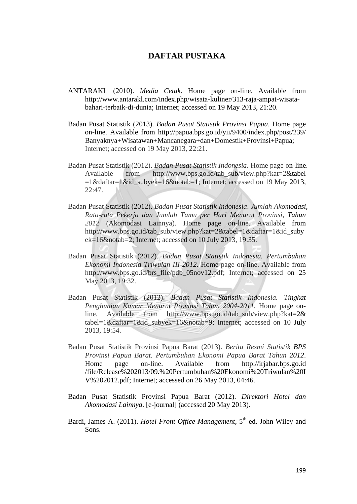## **DAFTAR PUSTAKA**

- ANTARAKL (2010). *Media Cetak*. Home page on-line. Available from http://www.antarakl.com/index.php/wisata-kuliner/313-raja-ampat-wisatabahari-terbaik-di-dunia; Internet; accessed on 19 May 2013, 21:20.
- Badan Pusat Statistik (2013). *Badan Pusat Statistik Provinsi Papua*. Home page on-line. Available from http://papua.bps.go.id/yii/9400/index.php/post/239/ Banyaknya+Wisatawan+Mancanegara+dan+Domestik+Provinsi+Papua; Internet; accessed on 19 May 2013, 22:21.
- Badan Pusat Statistik (2012). *Badan Pusat Statistik Indonesia*. Home page on-line. Available from http://www.bps.go.id/tab\_sub/view.php?kat=2&tabel  $=1$ &daftar=1&id\_subyek=16&notab=1; Internet; accessed on 19 May 2013,  $22:47.$
- Badan Pusat Statistik (2012). *Badan Pusat Statistik Indonesia*. *Jumlah Akomodasi, Rata-rata Pekerja dan Jumlah Tamu per Hari Menurut Provinsi, Tahun 2012* (Akomodasi Lainnya). Home page on-line. Available from http://www.bps.go.id/tab\_sub/view.php?kat=2&tabel=1&daftar=1&id\_suby  $ek=16&notab=2$ ; Internet; accessed on 10 July 2013, 19:35.
- Badan Pusat Statistik (2012). *Badan Pusat Statistik Indonesia. Pertumbuhan Ekonomi Indonesia Triwulan III-2012*. Home page on-line. Available from http://www.bps.go.id/brs\_file/pdb\_05nov12.pdf; Internet; accessed on 25 May 2013, 19:32.
- Badan Pusat Statistik (2012). *Badan Pusat Statistik Indonesia. Tingkat Penghunian Kamar Menurut Provinsi Tahun 2004-2011.* Home page online. Available from http://www.bps.go.id/tab\_sub/view.php?kat=2& tabel=1&daftar=1&id\_subyek=16&notab=9; Internet; accessed on 10 July 2013, 19:54.
- Badan Pusat Statistik Provinsi Papua Barat (2013). *Berita Resmi Statistik BPS Provinsi Papua Barat. Pertumbuhan Ekonomi Papua Barat Tahun 2012*. Home page on-line. Available from http://irjabar.bps.go.id /file/Release%202013/09.%20Pertumbuhan%20Ekonomi%20Triwulan%20I V%202012.pdf; Internet; accessed on 26 May 2013, 04:46.
- Badan Pusat Statistik Provinsi Papua Barat (2012). *Direktori Hotel dan Akomodasi Lainnya*. [e-journal] (accessed 20 May 2013).
- Bardi, James A. (2011). *Hotel Front Office Management,* 5 th ed. John Wiley and Sons.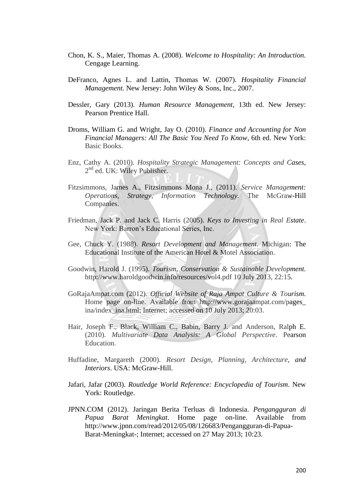- Chon, K. S., Maier, Thomas A. (2008). *Welcome to Hospitality: An Introduction.* Cengage Learning.
- DeFranco, Agnes L. and Lattin, Thomas W. (2007). *Hospitality Financial Management.* New Jersey: John Wiley & Sons, Inc., 2007.
- Dessler, Gary (2013). *Human Resource Management*, 13th ed. New Jersey: Pearson Prentice Hall.
- Droms, William G. and Wright, Jay O. (2010). *Finance and Accounting for Non Financial Managers: All The Basic You Need To Know*, 6th ed. New York: Basic Books.
- Enz, Cathy A. (2010). *Hospitality Strategic Management: Concepts and Cases*, 2<sup>nd</sup> ed. UK: Wiley Publisher.
- Fitzsimmons, James A., Fitzsimmons Mona J., (2011). *Service Management: Operations, Strategy, Information Technology.* The McGraw-Hill Companies.
- Friedman, Jack P. and Jack C. Harris (2005). *Keys to Investing in Real Estate*. New York: Barron's Educational Series, Inc.
- Gee, Chuck Y. (1988). *Resort Development and Management*. Michigan: The Educational Institute of the American Hotel & Motel Association.
- Goodwin, Harold J. (1995). *Tourism, Conservation & Sustainable Development.* http://www.haroldgoodwin.info/resources/vol4.pdf 10 July 2013, 22:15.
- GoRajaAmpat.com (2012). *Official Website of Raja Ampat Culture & Tourism.* Home page on-line. Available from http://www.gorajaampat.com/pages\_ ina/index\_ina.html; Internet; accessed on 10 July 2013; 20:03.
- Hair, Joseph F., Black, William C., Babin, Barry J. and Anderson, Ralph E. (2010). *Multivariate Data Analysis: A Global Perspective*. Pearson Education.
- Huffadine, Margareth (2000). *Resort Design, Planning, Architecture, and Interiors*. USA: McGraw-Hill.
- Jafari, Jafar (2003). *Routledge World Reference: Encyclopedia of Tourism*. New York: Routledge.
- JPNN.COM (2012). Jaringan Berita Terluas di Indonesia. *Pengangguran di Papua Barat Meningkat*. Home page on-line. Available from http://www.jpnn.com/read/2012/05/08/126683/Pengangguran-di-Papua-Barat-Meningkat-; Internet; accessed on 27 May 2013; 10:23.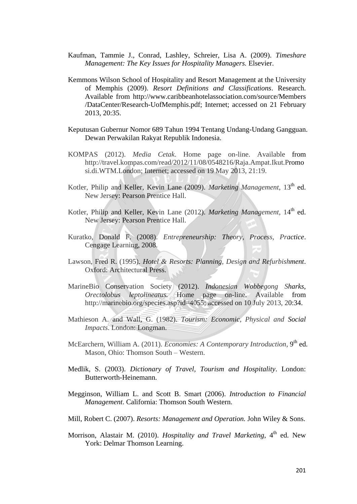- Kaufman, Tammie J., Conrad, Lashley, Schreier, Lisa A. (2009). *Timeshare Management: The Key Issues for Hospitality Managers.* Elsevier.
- Kemmons Wilson School of Hospitality and Resort Management at the University of Memphis (2009). *Resort Definitions and Classifications*. Research. Available from http://www.caribbeanhotelassociation.com/source/Members /DataCenter/Research-UofMemphis.pdf; Internet; accessed on 21 February 2013, 20:35.
- Keputusan Gubernur Nomor 689 Tahun 1994 Tentang Undang-Undang Gangguan. Dewan Perwakilan Rakyat Republik Indonesia.
- KOMPAS (2012). *Media Cetak*. Home page on-line. Available from http://travel.kompas.com/read/2012/11/08/0548216/Raja.Ampat.Ikut.Promo si.di.WTM.London; Internet; accessed on 19 May 2013, 21:19.
- Kotler, Philip and Keller, Kevin Lane (2009). *Marketing Management*, 13<sup>th</sup> ed. New Jersey: Pearson Prentice Hall.
- Kotler, Philip and Keller, Kevin Lane (2012). *Marketing Management*, 14<sup>th</sup> ed. New Jersey: Pearson Prentice Hall.
- Kuratko, Donald F. (2008). *Entrepreneurship: Theory, Process, Practice*. Cengage Learning, 2008.
- Lawson, Fred R. (1995). *Hotel & Resorts: Planning, Design and Refurbishment*. Oxford: Architectural Press.
- MarineBio Conservation Society (2012). *Indonesian Wobbegong Sharks, Orectolobus leptolineatus.* Home page on-line. Available from http://marinebio.org/species.asp?id=4055; accessed on 10 July 2013, 20:34.
- Mathieson A. and Wall, G. (1982). *Tourism: Economic, Physical and Social Impacts*. London: Longman.
- McEarchern, William A. (2011). *Economies: A Contemporary Introduction*, 9<sup>th</sup> ed. Mason, Ohio: Thomson South – Western.
- Medlik, S. (2003). *Dictionary of Travel, Tourism and Hospitality*. London: Butterworth-Heinemann.
- Megginson, William L. and Scott B. Smart (2006). *Introduction to Financial Management*. California: Thomson South Western.
- Mill, Robert C. (2007). *Resorts: Management and Operation.* John Wiley & Sons.
- Morrison, Alastair M. (2010). *Hospitality and Travel Marketing*, 4<sup>th</sup> ed. New York: Delmar Thomson Learning.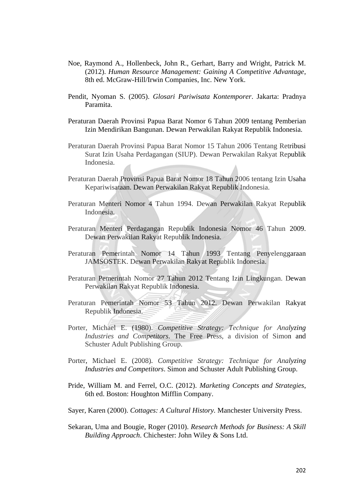- Noe, Raymond A., Hollenbeck, John R., Gerhart, Barry and Wright, Patrick M. (2012). *Human Resource Management: Gaining A Competitive Advantage*, 8th ed. McGraw-Hill/Irwin Companies, Inc. New York.
- Pendit, Nyoman S. (2005). *Glosari Pariwisata Kontemporer*. Jakarta: Pradnya Paramita.
- Peraturan Daerah Provinsi Papua Barat Nomor 6 Tahun 2009 tentang Pemberian Izin Mendirikan Bangunan. Dewan Perwakilan Rakyat Republik Indonesia.
- Peraturan Daerah Provinsi Papua Barat Nomor 15 Tahun 2006 Tentang Retribusi Surat Izin Usaha Perdagangan (SIUP). Dewan Perwakilan Rakyat Republik Indonesia.
- Peraturan Daerah Provinsi Papua Barat Nomor 18 Tahun 2006 tentang Izin Usaha Kepariwisataan. Dewan Perwakilan Rakyat Republik Indonesia.
- Peraturan Menteri Nomor 4 Tahun 1994. Dewan Perwakilan Rakyat Republik Indonesia.
- Peraturan Menteri Perdagangan Republik Indonesia Nomor 46 Tahun 2009. Dewan Perwakilan Rakyat Republik Indonesia.
- Peraturan Pemerintah Nomor 14 Tahun 1993 Tentang Penyelenggaraan JAMSOSTEK. Dewan Perwakilan Rakyat Republik Indonesia.
- Peraturan Pemerintah Nomor 27 Tahun 2012 Tentang Izin Lingkungan. Dewan Perwakilan Rakyat Republik Indonesia.
- Peraturan Pemerintah Nomor 53 Tahun 2012. Dewan Perwakilan Rakyat Republik Indonesia.
- Porter, Michael E. (1980). *Competitive Strategy: Technique for Analyzing Industries and Competitors*. The Free Press, a division of Simon and Schuster Adult Publishing Group.
- Porter, Michael E. (2008). *Competitive Strategy: Technique for Analyzing Industries and Competitors*. Simon and Schuster Adult Publishing Group.
- Pride, William M. and Ferrel, O.C. (2012). *Marketing Concepts and Strategies*, 6th ed. Boston: Houghton Mifflin Company.
- Sayer, Karen (2000). *Cottages: A Cultural History.* Manchester University Press.
- Sekaran, Uma and Bougie, Roger (2010). *Research Methods for Business: A Skill Building Approach*. Chichester: John Wiley & Sons Ltd.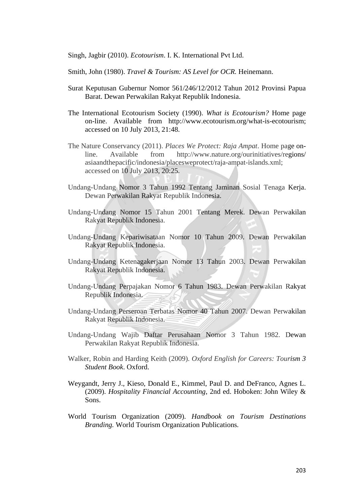Singh, Jagbir (2010). *Ecotourism*. I. K. International Pvt Ltd.

Smith, John (1980). *Travel & Tourism: AS Level for OCR.* Heinemann.

- Surat Keputusan Gubernur Nomor 561/246/12/2012 Tahun 2012 Provinsi Papua Barat. Dewan Perwakilan Rakyat Republik Indonesia.
- The International Ecotourism Society (1990). *What is Ecotourism?* Home page on-line. Available from http://www.ecotourism.org/what-is-ecotourism; accessed on 10 July 2013, 21:48.
- The Nature Conservancy (2011). *Places We Protect: Raja Ampat*. Home page online. Available from http://www.nature.org/ourinitiatives/regions/ asiaandthepacific/indonesia/placesweprotect/raja-ampat-islands.xml; accessed on 10 July 2013, 20:25.
- Undang-Undang Nomor 3 Tahun 1992 Tentang Jaminan Sosial Tenaga Kerja. Dewan Perwakilan Rakyat Republik Indonesia.
- Undang-Undang Nomor 15 Tahun 2001 Tentang Merek. Dewan Perwakilan Rakyat Republik Indonesia.
- Undang-Undang Kepariwisataan Nomor 10 Tahun 2009. Dewan Perwakilan Rakyat Republik Indonesia.
- Undang-Undang Ketenagakerjaan Nomor 13 Tahun 2003. Dewan Perwakilan Rakyat Republik Indonesia.
- Undang-Undang Perpajakan Nomor 6 Tahun 1983. Dewan Perwakilan Rakyat Republik Indonesia.
- Undang-Undang Perseroan Terbatas Nomor 40 Tahun 2007. Dewan Perwakilan Rakyat Republik Indonesia.
- Undang-Undang Wajib Daftar Perusahaan Nomor 3 Tahun 1982. Dewan Perwakilan Rakyat Republik Indonesia.
- Walker, Robin and Harding Keith (2009). *Oxford English for Careers: Tourism 3 Student Book*. Oxford.
- Weygandt, Jerry J., Kieso, Donald E., Kimmel, Paul D. and DeFranco, Agnes L. (2009). *Hospitality Financial Accounting*, 2nd ed. Hoboken: John Wiley & Sons.
- World Tourism Organization (2009). *Handbook on Tourism Destinations Branding.* World Tourism Organization Publications*.*